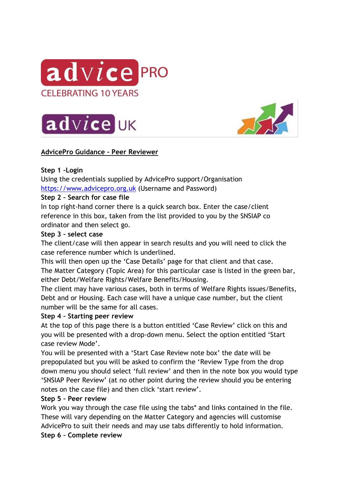





# **AdvicePro Guidance – Peer Reviewer**

## **Step 1 –Login**

Using the credentials supplied by AdvicePro support/Organisation [https://www.advicepro.org.uk](https://www.advicepro.org.uk/) (Username and Password)

### **Step 2 – Search for case file**

In top right-hand corner there is a quick search box. Enter the case/client reference in this box, taken from the list provided to you by the SNSIAP co ordinator and then select go.

### **Step 3 – select case**

The client/case will then appear in search results and you will need to click the case reference number which is underlined.

This will then open up the 'Case Details' page for that client and that case. The Matter Category (Topic Area) for this particular case is listed in the green bar, either Debt/Welfare Rights/Welfare Benefits/Housing.

The client may have various cases, both in terms of Welfare Rights issues/Benefits, Debt and or Housing. Each case will have a unique case number, but the client number will be the same for all cases.

### **Step 4 – Starting peer review**

At the top of this page there is a button entitled 'Case Review' click on this and you will be presented with a drop-down menu. Select the option entitled 'Start case review Mode'.

You will be presented with a 'Start Case Review note box' the date will be prepopulated but you will be asked to confirm the 'Review Type from the drop down menu you should select 'full review' and then in the note box you would type 'SNSIAP Peer Review' (at no other point during the review should you be entering notes on the case file) and then click 'start review'.

### **Step 5 – Peer review**

Work you way through the case file using the tabs\* and links contained in the file. These will vary depending on the Matter Category and agencies will customise AdvicePro to suit their needs and may use tabs differently to hold information.

### **Step 6 – Complete review**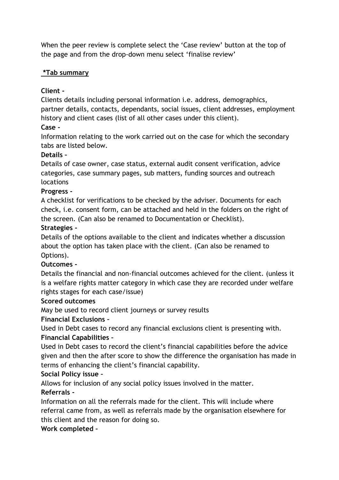When the peer review is complete select the 'Case review' button at the top of the page and from the drop-down menu select 'finalise review'

## **\*Tab summary**

# **Client -**

Clients details including personal information i.e. address, demographics, partner details, contacts, dependants, social issues, client addresses, employment history and client cases (list of all other cases under this client).

# **Case -**

Information relating to the work carried out on the case for which the secondary tabs are listed below.

## **Details –**

Details of case owner, case status, external audit consent verification, advice categories, case summary pages, sub matters, funding sources and outreach locations

## **Progress -**

A checklist for verifications to be checked by the adviser. Documents for each check, i.e. consent form, can be attached and held in the folders on the right of the screen. (Can also be renamed to Documentation or Checklist).

## **Strategies -**

Details of the options available to the client and indicates whether a discussion about the option has taken place with the client. (Can also be renamed to Options).

# **Outcomes -**

Details the financial and non-financial outcomes achieved for the client. (unless it is a welfare rights matter category in which case they are recorded under welfare rights stages for each case/issue)

### **Scored outcomes**

May be used to record client journeys or survey results

### **Financial Exclusions –**

Used in Debt cases to record any financial exclusions client is presenting with. **Financial Capabilities –**

Used in Debt cases to record the client's financial capabilities before the advice given and then the after score to show the difference the organisation has made in terms of enhancing the client's financial capability.

# **Social Policy issue –**

Allows for inclusion of any social policy issues involved in the matter.

### **Referrals -**

Information on all the referrals made for the client. This will include where referral came from, as well as referrals made by the organisation elsewhere for this client and the reason for doing so.

# **Work completed –**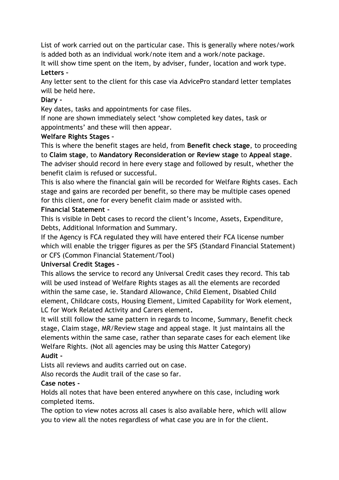List of work carried out on the particular case. This is generally where notes/work is added both as an individual work/note item and a work/note package.

It will show time spent on the item, by adviser, funder, location and work type. **Letters –**

Any letter sent to the client for this case via AdvicePro standard letter templates will be held here.

## **Diary -**

Key dates, tasks and appointments for case files.

If none are shown immediately select 'show completed key dates, task or appointments' and these will then appear.

## **Welfare Rights Stages –**

This is where the benefit stages are held, from **Benefit check stage**, to proceeding to **Claim stage**, to **Mandatory Reconsideration or Review stage** to **Appeal stage**. The adviser should record in here every stage and followed by result, whether the benefit claim is refused or successful.

This is also where the financial gain will be recorded for Welfare Rights cases. Each stage and gains are recorded per benefit, so there may be multiple cases opened for this client, one for every benefit claim made or assisted with.

## **Financial Statement -**

This is visible in Debt cases to record the client's Income, Assets, Expenditure, Debts, Additional Information and Summary.

If the Agency is FCA regulated they will have entered their FCA license number which will enable the trigger figures as per the SFS (Standard Financial Statement) or CFS (Common Financial Statement/Tool)

### **Universal Credit Stages –**

This allows the service to record any Universal Credit cases they record. This tab will be used instead of Welfare Rights stages as all the elements are recorded within the same case, ie. Standard Allowance, Child Element, Disabled Child element, Childcare costs, Housing Element, Limited Capability for Work element, LC for Work Related Activity and Carers element**.**

It will still follow the same pattern in regards to Income, Summary, Benefit check stage, Claim stage, MR/Review stage and appeal stage. It just maintains all the elements within the same case, rather than separate cases for each element like Welfare Rights. (Not all agencies may be using this Matter Category) **Audit -**

Lists all reviews and audits carried out on case.

Also records the Audit trail of the case so far.

# **Case notes -**

Holds all notes that have been entered anywhere on this case, including work completed items.

The option to view notes across all cases is also available here, which will allow you to view all the notes regardless of what case you are in for the client.